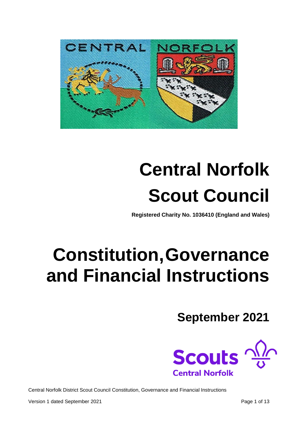

# **Central Norfolk Scout Council**

**Registered Charity No. 1036410 (England and Wales)**

# **Constitution,Governance and Financial Instructions**

**September 2021**

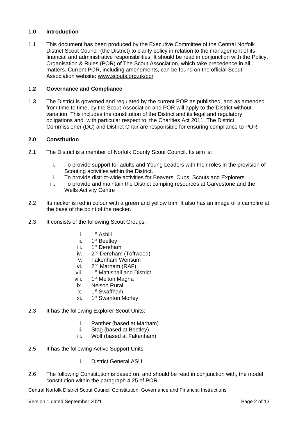# **1.0 Introduction**

1.1 This document has been produced by the Executive Committee of the Central Norfolk District Scout Council (the District) to clarify policy in relation to the management of its financial and administrative responsibilities. It should be read in conjunction with the Policy, Organisation & Rules (POR) of The Scout Association, which take precedence in all matters. Current POR, including amendments, can be found on the official Scout Association website: [www.scouts.org.uk/por](http://www.scouts.org.uk/por)

### **1.2 Governance and Compliance**

1.3 The District is governed and regulated by the current POR as published, and as amended from time to time, by the Scout Association and POR will apply to the District without variation. This includes the constitution of the District and its legal and regulatory obligations and, with particular respect to, the Charities Act 2011. The District Commissioner (DC) and District Chair are responsible for ensuring compliance to POR.

# **2.0 Constitution**

- 2.1 The District is a member of Norfolk County Scout Council. Its aim is:
	- i. To provide support for adults and Young Leaders with their roles in the provision of Scouting activities within the District.
	- ii. To provide district-wide activities for Beavers, Cubs, Scouts and Explorers.
	- iii. To provide and maintain the District camping resources at Garvestone and the Wells Activity Centre
- 2.2 Its necker is red in colour with a green and yellow trim; It also has an image of a campfire at the base of the point of the necker.
- 2.3 It consists of the following Scout Groups:
	- $i$ . 1<sup>st</sup> Ashill
	- $ii.$ 1<sup>st</sup> Beetley
	- iii. 1<sup>st</sup> Dereham
	- $iv<sub>2</sub>$ 2<sup>nd</sup> Dereham (Toftwood)
	- v. Fakenham Wensum
	- vi.  $2<sup>nd</sup>$  Marham (RAF)
	- vii. 1 1<sup>st</sup> Mattishall and District
	- viii. 1 1<sup>st</sup> Melton Magna
	- ix. Nelson Rural
	- $\mathbf{x}$ 1<sup>st</sup> Swaffham
	- xi. 1 1<sup>st</sup> Swanton Morley
- 2.3 It has the following Explorer Scout Units:
	- i. Panther (based at Marham)
	- ii. Stag (based at Beetley)
	- iii. Wolf (based at Fakenham)
- 2.5 It has the following Active Support Units:
	- i. District General ASU
- 2.6 The following Constitution is based on, and should be read in conjunction with, the model constitution within the paragraph 4.25 of POR.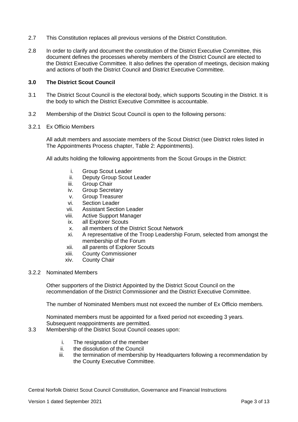- 2.7 This Constitution replaces all previous versions of the District Constitution.
- 2.8 In order to clarify and document the constitution of the District Executive Committee, this document defines the processes whereby members of the District Council are elected to the District Executive Committee. It also defines the operation of meetings, decision making and actions of both the District Council and District Executive Committee.

#### **3.0 The District Scout Council**

- 3.1 The District Scout Council is the electoral body, which supports Scouting in the District. It is the body to which the District Executive Committee is accountable.
- 3.2 Membership of the District Scout Council is open to the following persons:

#### 3.2.1 Ex Officio Members

All adult members and associate members of the Scout District (see District roles listed in The Appointments Process chapter, Table 2: Appointments).

All adults holding the following appointments from the Scout Groups in the District:

- i. Group Scout Leader
- ii. Deputy Group Scout Leader
- iii. Group Chair
- iv. Group Secretary
- v. Group Treasurer
- vi. Section Leader
- vii. Assistant Section Leader
- viii. Active Support Manager
- ix. all Explorer Scouts
- x. all members of the District Scout Network
- xi. A representative of the Troop Leadership Forum, selected from amongst the membership of the Forum
- xii. all parents of Explorer Scouts
- xiii. County Commissioner
- xiv. County Chair
- 3.2.2 Nominated Members

Other supporters of the District Appointed by the District Scout Council on the recommendation of the District Commissioner and the District Executive Committee.

The number of Nominated Members must not exceed the number of Ex Officio members.

Nominated members must be appointed for a fixed period not exceeding 3 years. Subsequent reappointments are permitted.

- 3.3 Membership of the District Scout Council ceases upon:
	- i. The resignation of the member
	- ii. the dissolution of the Council
	- iii. the termination of membership by Headquarters following a recommendation by the County Executive Committee.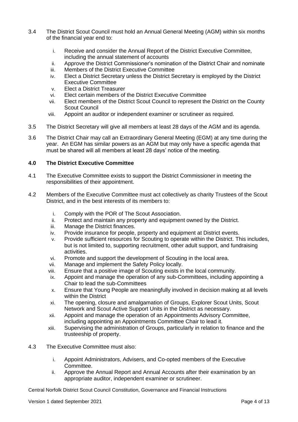- 3.4 The District Scout Council must hold an Annual General Meeting (AGM) within six months of the financial year end to:
	- i. Receive and consider the Annual Report of the District Executive Committee, including the annual statement of accounts
	- ii. Approve the District Commissioner's nomination of the District Chair and nominate
	- iii. Members of the District Executive Committee
	- iv. Elect a District Secretary unless the District Secretary is employed by the District Executive Committee
	- v. Elect a District Treasurer
	- vi. Elect certain members of the District Executive Committee
	- vii. Elect members of the District Scout Council to represent the District on the County Scout Council
	- viii. Appoint an auditor or independent examiner or scrutineer as required.
- 3.5 The District Secretary will give all members at least 28 days of the AGM and its agenda.
- 3.6 The District Chair may call an Extraordinary General Meeting (EGM) at any time during the year. An EGM has similar powers as an AGM but may only have a specific agenda that must be shared will all members at least 28 days' notice of the meeting.

# **4.0 The District Executive Committee**

- 4.1 The Executive Committee exists to support the District Commissioner in meeting the responsibilities of their appointment.
- 4.2 Members of the Executive Committee must act collectively as charity Trustees of the Scout District, and in the best interests of its members to:
	- i. Comply with the POR of The Scout Association.
	- ii. Protect and maintain any property and equipment owned by the District.
	- iii. Manage the District finances.
	- iv. Provide insurance for people, property and equipment at District events.
	- v. Provide sufficient resources for Scouting to operate within the District. This includes, but is not limited to, supporting recruitment, other adult support, and fundraising activities.
	- vi. Promote and support the development of Scouting in the local area.
	- vii. Manage and implement the Safety Policy locally.
	- viii. Ensure that a positive image of Scouting exists in the local community.
	- ix. Appoint and manage the operation of any sub-Committees, including appointing a Chair to lead the sub-Committees
	- x. Ensure that Young People are meaningfully involved in decision making at all levels within the District
	- xi. The opening, closure and amalgamation of Groups, Explorer Scout Units, Scout Network and Scout Active Support Units in the District as necessary.
	- xii. Appoint and manage the operation of an Appointments Advisory Committee, including appointing an Appointments Committee Chair to lead it.
	- xiii. Supervising the administration of Groups, particularly in relation to finance and the trusteeship of property.
- 4.3 The Executive Committee must also:
	- i. Appoint Administrators, Advisers, and Co-opted members of the Executive Committee.
	- ii. Approve the Annual Report and Annual Accounts after their examination by an appropriate auditor, independent examiner or scrutineer.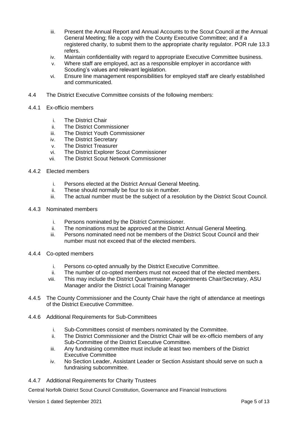- iii. Present the Annual Report and Annual Accounts to the Scout Council at the Annual General Meeting; file a copy with the County Executive Committee; and if a registered charity, to submit them to the appropriate charity regulator. POR rule 13.3 refers.
- iv. Maintain confidentiality with regard to appropriate Executive Committee business.
- v. Where staff are employed, act as a responsible employer in accordance with Scouting's values and relevant legislation.
- vi. Ensure line management responsibilities for employed staff are clearly established and communicated.
- 4.4 The District Executive Committee consists of the following members:
- 4.4.1 Ex-officio members
	- i. The District Chair
	- ii. The District Commissioner
	- iii. The District Youth Commissioner
	- iv. The District Secretary
	- v. The District Treasurer
	- vi. The District Explorer Scout Commissioner
	- vii. The District Scout Network Commissioner
- 4.4.2 Elected members
	- i. Persons elected at the District Annual General Meeting.
	- ii. These should normally be four to six in number.
	- iii. The actual number must be the subject of a resolution by the District Scout Council.
- 4.4.3 Nominated members
	- i. Persons nominated by the District Commissioner.
	- ii. The nominations must be approved at the District Annual General Meeting.
	- iii. Persons nominated need not be members of the District Scout Council and their number must not exceed that of the elected members.
- 4.4.4 Co-opted members
	- i. Persons co-opted annually by the District Executive Committee.
	- ii. The number of co-opted members must not exceed that of the elected members.
	- viii. This may include the District Quartermaster, Appointments Chair/Secretary, ASU Manager and/or the District Local Training Manager
- 4.4.5 The County Commissioner and the County Chair have the right of attendance at meetings of the District Executive Committee.
- 4.4.6 Additional Requirements for Sub-Committees
	- i. Sub-Committees consist of members nominated by the Committee.
	- ii. The District Commissioner and the District Chair will be ex-officio members of any Sub-Committee of the District Executive Committee.
	- iii. Any fundraising committee must include at least two members of the District Executive Committee
	- iv. No Section Leader, Assistant Leader or Section Assistant should serve on such a fundraising subcommittee.
- 4.4.7 Additional Requirements for Charity Trustees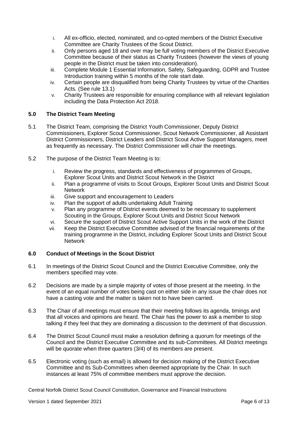- i. All ex-officio, elected, nominated, and co-opted members of the District Executive Committee are Charity Trustees of the Scout District.
- ii. Only persons aged 18 and over may be full voting members of the District Executive Committee because of their status as Charity Trustees (however the views of young people in the District must be taken into consideration).
- iii. Complete Module 1 Essential Information, Safety, Safeguarding, GDPR and Trustee Introduction training within 5 months of the role start date.
- iv. Certain people are disqualified from being Charity Trustees by virtue of the Charities Acts. (See rule 13.1)
- v. Charity Trustees are responsible for ensuring compliance with all relevant legislation including the Data Protection Act 2018.

# **5.0 The District Team Meeting**

- 5.1 The District Team, comprising the District Youth Commissioner, Deputy District Commissioners, Explorer Scout Commissioner, Scout Network Commissioner, all Assistant District Commissioners, District Leaders and District Scout Active Support Managers, meet as frequently as necessary. The District Commissioner will chair the meetings.
- 5.2 The purpose of the District Team Meeting is to:
	- i. Review the progress, standards and effectiveness of programmes of Groups, Explorer Scout Units and District Scout Network in the District
	- ii. Plan a programme of visits to Scout Groups, Explorer Scout Units and District Scout Network
	- iii. Give support and encouragement to Leaders
	- iv. Plan the support of adults undertaking Adult Training
	- v. Plan any programme of District events deemed to be necessary to supplement Scouting in the Groups, Explorer Scout Units and District Scout Network
	- vi. Secure the support of District Scout Active Support Units in the work of the District
	- vii. Keep the District Executive Committee advised of the financial requirements of the training programme in the District, including Explorer Scout Units and District Scout Network

# **6.0 Conduct of Meetings in the Scout District**

- 6.1 In meetings of the District Scout Council and the District Executive Committee, only the members specified may vote.
- 6.2 Decisions are made by a simple majority of votes of those present at the meeting. In the event of an equal number of votes being cast on either side in any issue the chair does not have a casting vote and the matter is taken not to have been carried.
- 6.3 The Chair of all meetings must ensure that their meeting follows its agenda, timings and that all voices and opinions are heard. The Chair has the power to ask a member to stop talking if they feel that they are dominating a discussion to the detriment of that discussion.
- 6.4 The District Scout Council must make a resolution defining a quorum for meetings of the Council and the District Executive Committee and its sub-Committees. All District meetings will be quorate when three quarters (3/4) of its members are present.
- 6.5 Electronic voting (such as email) is allowed for decision making of the District Executive Committee and its Sub-Committees when deemed appropriate by the Chair. In such instances at least 75% of committee members must approve the decision.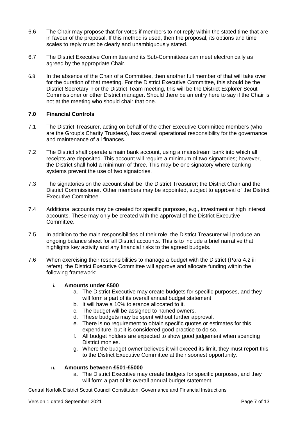- 6.6 The Chair may propose that for votes if members to not reply within the stated time that are in favour of the proposal. If this method is used, then the proposal, its options and time scales to reply must be clearly and unambiguously stated.
- 6.7 The District Executive Committee and its Sub-Committees can meet electronically as agreed by the appropriate Chair.
- 6.8 In the absence of the Chair of a Committee, then another full member of that will take over for the duration of that meeting. For the District Executive Committee, this should be the District Secretary. For the District Team meeting, this will be the District Explorer Scout Commissioner or other District manager. Should there be an entry here to say if the Chair is not at the meeting who should chair that one.

#### **7.0 Financial Controls**

- 7.1 The District Treasurer, acting on behalf of the other Executive Committee members (who are the Group's Charity Trustees), has overall operational responsibility for the governance and maintenance of all finances.
- 7.2 The District shall operate a main bank account, using a mainstream bank into which all receipts are deposited. This account will require a minimum of two signatories; however, the District shall hold a minimum of three. This may be one signatory where banking systems prevent the use of two signatories.
- 7.3 The signatories on the account shall be: the District Treasurer; the District Chair and the District Commissioner. Other members may be appointed, subject to approval of the District Executive Committee.
- 7.4 Additional accounts may be created for specific purposes, e.g., investment or high interest accounts. These may only be created with the approval of the District Executive Committee.
- 7.5 In addition to the main responsibilities of their role, the District Treasurer will produce an ongoing balance sheet for all District accounts. This is to include a brief narrative that highlights key activity and any financial risks to the agreed budgets.
- 7.6 When exercising their responsibilities to manage a budget with the District (Para 4.2 iii refers), the District Executive Committee will approve and allocate funding within the following framework:

# **i. Amounts under £500**

- a. The District Executive may create budgets for specific purposes, and they will form a part of its overall annual budget statement.
- b. It will have a 10% tolerance allocated to it.
- c. The budget will be assigned to named owners.
- d. These budgets may be spent without further approval.
- e. There is no requirement to obtain specific quotes or estimates for this expenditure, but it is considered good practice to do so.
- f. All budget holders are expected to show good judgement when spending District monies.
- g. Where the budget owner believes it will exceed its limit, they must report this to the District Executive Committee at their soonest opportunity.

# **ii. Amounts between £501-£5000**

a. The District Executive may create budgets for specific purposes, and they will form a part of its overall annual budget statement.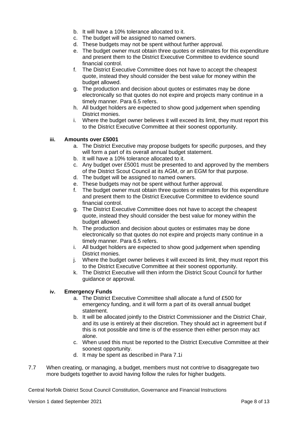- b. It will have a 10% tolerance allocated to it.
- c. The budget will be assigned to named owners.
- d. These budgets may not be spent without further approval.
- e. The budget owner must obtain three quotes or estimates for this expenditure and present them to the District Executive Committee to evidence sound financial control.
- f. The District Executive Committee does not have to accept the cheapest quote, instead they should consider the best value for money within the budget allowed.
- g. The production and decision about quotes or estimates may be done electronically so that quotes do not expire and projects many continue in a timely manner. Para 6.5 refers.
- h. All budget holders are expected to show good judgement when spending District monies.
- i. Where the budget owner believes it will exceed its limit, they must report this to the District Executive Committee at their soonest opportunity.

#### **iii. Amounts over £5001**

- a. The District Executive may propose budgets for specific purposes, and they will form a part of its overall annual budget statement.
- b. It will have a 10% tolerance allocated to it.
- c. Any budget over £5001 must be presented to and approved by the members of the District Scout Council at its AGM, or an EGM for that purpose.
- d. The budget will be assigned to named owners.
- e. These budgets may not be spent without further approval.
- f. The budget owner must obtain three quotes or estimates for this expenditure and present them to the District Executive Committee to evidence sound financial control.
- g. The District Executive Committee does not have to accept the cheapest quote, instead they should consider the best value for money within the budget allowed.
- h. The production and decision about quotes or estimates may be done electronically so that quotes do not expire and projects many continue in a timely manner. Para 6.5 refers.
- i. All budget holders are expected to show good judgement when spending District monies.
- j. Where the budget owner believes it will exceed its limit, they must report this to the District Executive Committee at their soonest opportunity.
- k. The District Executive will then inform the District Scout Council for further guidance or approval.

# **iv. Emergency Funds**

- a. The District Executive Committee shall allocate a fund of £500 for emergency funding, and it will form a part of its overall annual budget statement.
- b. It will be allocated jointly to the District Commissioner and the District Chair, and its use is entirely at their discretion. They should act in agreement but if this is not possible and time is of the essence then either person may act alone.
- c. When used this must be reported to the District Executive Committee at their soonest opportunity.
- d. It may be spent as described in Para 7.1i
- 7.7 When creating, or managing, a budget, members must not contrive to disaggregate two more budgets together to avoid having follow the rules for higher budgets.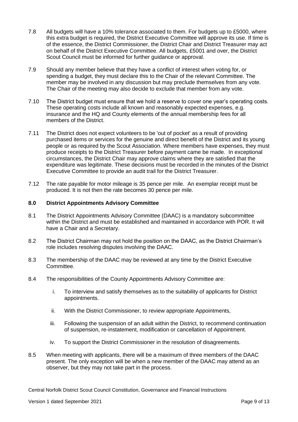- 7.8 All budgets will have a 10% tolerance associated to them. For budgets up to £5000, where this extra budget is required, the District Executive Committee will approve its use. If time is of the essence, the District Commissioner, the District Chair and District Treasurer may act on behalf of the District Executive Committee. All budgets, £5001 and over, the District Scout Council must be informed for further guidance or approval.
- 7.9 Should any member believe that they have a conflict of interest when voting for, or spending a budget, they must declare this to the Chair of the relevant Committee. The member may be involved in any discussion but may preclude themselves from any vote. The Chair of the meeting may also decide to exclude that member from any vote.
- 7.10 The District budget must ensure that we hold a reserve to cover one year's operating costs. These operating costs include all known and reasonably expected expenses, e.g. insurance and the HQ and County elements of the annual membership fees for all members of the District.
- 7.11 The District does not expect volunteers to be 'out of pocket' as a result of providing purchased items or services for the genuine and direct benefit of the District and its young people or as required by the Scout Association. Where members have expenses, they must produce receipts to the District Treasurer before payment came be made. In exceptional circumstances, the District Chair may approve claims where they are satisfied that the expenditure was legitimate. These decisions must be recorded in the minutes of the District Executive Committee to provide an audit trail for the District Treasurer.
- 7.12 The rate payable for motor mileage is 35 pence per mile. An exemplar receipt must be produced. It is not then the rate becomes 30 pence per mile.

#### **8.0 District Appointments Advisory Committee**

- 8.1 The District Appointments Advisory Committee (DAAC) is a mandatory subcommittee within the District and must be established and maintained in accordance with POR. It will have a Chair and a Secretary.
- 8.2 The District Chairman may not hold the position on the DAAC, as the District Chairman's role includes resolving disputes involving the DAAC.
- 8.3 The membership of the DAAC may be reviewed at any time by the District Executive Committee.
- 8.4 The responsibilities of the County Appointments Advisory Committee are:
	- i. To interview and satisfy themselves as to the suitability of applicants for District appointments.
	- ii. With the District Commissioner, to review appropriate Appointments,
	- iii. Following the suspension of an adult within the District, to recommend continuation of suspension, re-instatement, modification or cancellation of Appointment.
	- iv. To support the District Commissioner in the resolution of disagreements.
- 8.5 When meeting with applicants, there will be a maximum of three members of the DAAC present. The only exception will be when a new member of the DAAC may attend as an observer, but they may not take part in the process.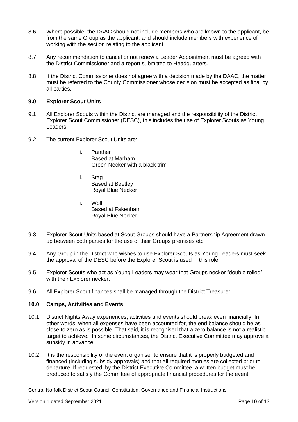- 8.6 Where possible, the DAAC should not include members who are known to the applicant, be from the same Group as the applicant, and should include members with experience of working with the section relating to the applicant.
- 8.7 Any recommendation to cancel or not renew a Leader Appointment must be agreed with the District Commissioner and a report submitted to Headquarters.
- 8.8 If the District Commissioner does not agree with a decision made by the DAAC, the matter must be referred to the County Commissioner whose decision must be accepted as final by all parties.

#### **9.0 Explorer Scout Units**

- 9.1 All Explorer Scouts within the District are managed and the responsibility of the District Explorer Scout Commissioner (DESC), this includes the use of Explorer Scouts as Young Leaders.
- 9.2 The current Explorer Scout Units are:
	- i. Panther Based at Marham Green Necker with a black trim
	- ii. Stag Based at Beetley Royal Blue Necker
	- iii. Wolf Based at Fakenham Royal Blue Necker
- 9.3 Explorer Scout Units based at Scout Groups should have a Partnership Agreement drawn up between both parties for the use of their Groups premises etc.
- 9.4 Any Group in the District who wishes to use Explorer Scouts as Young Leaders must seek the approval of the DESC before the Explorer Scout is used in this role.
- 9.5 Explorer Scouts who act as Young Leaders may wear that Groups necker "double rolled" with their Explorer necker.
- 9.6 All Explorer Scout finances shall be managed through the District Treasurer.

#### **10.0 Camps, Activities and Events**

- 10.1 District Nights Away experiences, activities and events should break even financially. In other words, when all expenses have been accounted for, the end balance should be as close to zero as is possible. That said, it is recognised that a zero balance is not a realistic target to achieve. In some circumstances, the District Executive Committee may approve a subsidy in advance.
- 10.2 It is the responsibility of the event organiser to ensure that it is properly budgeted and financed (including subsidy approvals) and that all required monies are collected prior to departure. If requested, by the District Executive Committee, a written budget must be produced to satisfy the Committee of appropriate financial procedures for the event.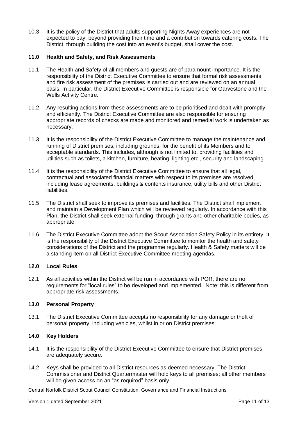10.3 It is the policy of the District that adults supporting Nights Away experiences are not expected to pay, beyond providing their time and a contribution towards catering costs. The District, through building the cost into an event's budget, shall cover the cost.

# **11.0 Health and Safety, and Risk Assessments**

- 11.1 The Health and Safety of all members and guests are of paramount importance. It is the responsibility of the District Executive Committee to ensure that formal risk assessments and fire risk assessment of the premises is carried out and are reviewed on an annual basis. In particular, the District Executive Committee is responsible for Garvestone and the Wells Activity Centre.
- 11.2 Any resulting actions from these assessments are to be prioritised and dealt with promptly and efficiently. The District Executive Committee are also responsible for ensuring appropriate records of checks are made and monitored and remedial work is undertaken as necessary.
- 11.3 It is the responsibility of the District Executive Committee to manage the maintenance and running of District premises, including grounds, for the benefit of its Members and to acceptable standards. This includes, although is not limited to, providing facilities and utilities such as toilets, a kitchen, furniture, heating, lighting etc., security and landscaping.
- 11.4 It is the responsibility of the District Executive Committee to ensure that all legal, contractual and associated financial matters with respect to its premises are resolved, including lease agreements, buildings & contents insurance, utility bills and other District liabilities.
- 11.5 The District shall seek to improve its premises and facilities. The District shall implement and maintain a Development Plan which will be reviewed regularly. In accordance with this Plan, the District shall seek external funding, through grants and other charitable bodies, as appropriate.
- 11.6 The District Executive Committee adopt the Scout Association Safety Policy in its entirety. It is the responsibility of the District Executive Committee to monitor the health and safety considerations of the District and the programme regularly. Health & Safety matters will be a standing item on all District Executive Committee meeting agendas.

### **12.0 Local Rules**

12.1 As all activities within the District will be run in accordance with POR, there are no requirements for "local rules" to be developed and implemented. Note: this is different from appropriate risk assessments.

# **13.0 Personal Property**

13.1 The District Executive Committee accepts no responsibility for any damage or theft of personal property, including vehicles, whilst in or on District premises.

#### **14.0 Key Holders**

- 14.1 It is the responsibility of the District Executive Committee to ensure that District premises are adequately secure.
- 14.2 Keys shall be provided to all District resources as deemed necessary. The District Commissioner and District Quartermaster will hold keys to all premises; all other members will be given access on an "as required" basis only.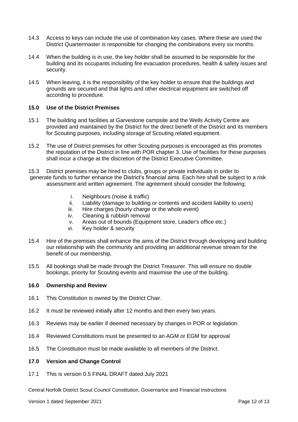- 14.3 Access to keys can include the use of combination key cases. Where these are used the District Quartermaster is responsible for changing the combinations every six months.
- 14.4 When the building is in use, the key holder shall be assumed to be responsible for the building and its occupants including fire evacuation procedures, health & safety issues and security.
- 14.5 When leaving, it is the responsibility of the key holder to ensure that the buildings and grounds are secured and that lights and other electrical equipment are switched off according to procedure.

### **15.0 Use of the District Premises**

- 15.1 The building and facilities at Garvestone campsite and the Wells Activity Centre are provided and maintained by the District for the direct benefit of the District and its members for Scouting purposes, including storage of Scouting related equipment.
- 15.2 The use of District premises for other Scouting purposes is encouraged as this promotes the reputation of the District in line with POR chapter 3. Use of facilities for these purposes shall incur a charge at the discretion of the District Executive Committee.
- 15.3 District premises may be hired to clubs, groups or private individuals in order to generate funds to further enhance the District's financial aims. Each hire shall be subject to a risk assessment and written agreement. The agreement should consider the following:
	- i. Neighbours (noise & traffic)
	- ii. Liability (damage to building or contents and accident liability to users)
	- iii. Hire charges (hourly charge or the whole event)
	- iv. Cleaning & rubbish removal
	- v. Areas out of bounds (Equipment store, Leader's office etc.)
	- vi. Key holder & security
- 15.4 Hire of the premises shall enhance the aims of the District through developing and building our relationship with the community and providing an additional revenue stream for the benefit of our membership.
- 15.5 All bookings shall be made through the District Treasurer. This will ensure no double bookings, priority for Scouting events and maximise the use of the building.

#### **16.0 Ownership and Review**

- 16.1 This Constitution is owned by the District Chair.
- 16.2 It must be reviewed initially after 12 months and then every two years.
- 16.3 Reviews may be earlier if deemed necessary by changes in POR or legislation.
- 16.4 Reviewed Constitutions must be presented to an AGM or EGM for approval
- 16.5 The Constitution must be made available to all members of the District.

#### **17.0 Version and Change Control**

17.1 This is version 0.5 FINAL DRAFT dated July 2021